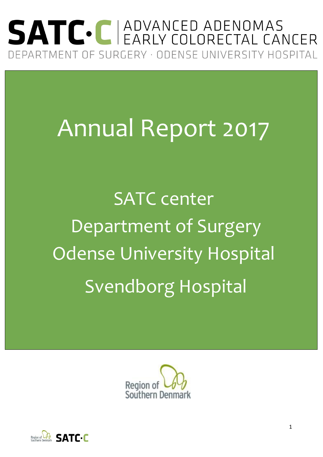## SATC. C ADVANCED ADENOMAS DEPARTMENT OF SURGERY · ODENSE UNIVERSITY HOSPITAL

# Annual Report 2017

SATC center Department of Surgery Odense University Hospital Svendborg Hospital



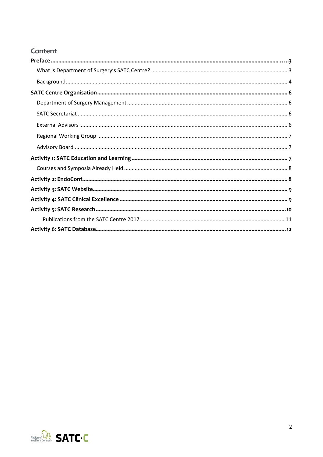#### Content

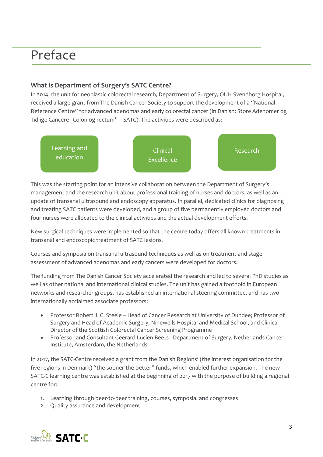### Preface

#### **What is Department of Surgery's SATC Centre?**

In 2014, the unit for neoplastic colorectal research, Department of Surgery, OUH Svendborg Hospital, received a large grant from The Danish Cancer Society to support the development of a "National Reference Centre" for advanced adenomas and early colorectal cancer (in Danish: Store Adenomer og Tidlige Cancere i Colon og rectum" – SATC). The activities were described as:



This was the starting point for an intensive collaboration between the Department of Surgery's management and the research unit about professional training of nurses and doctors, as well as an update of transanal ultrasound and endoscopy apparatus. In parallel, dedicated clinics for diagnosing and treating SATC patients were developed, and a group of five permanently employed doctors and four nurses were allocated to the clinical activities and the actual development efforts.

New surgical techniques were implemented so that the centre today offers all known treatments in transanal and endoscopic treatment of SATC lesions.

Courses and symposia on transanal ultrasound techniques as well as on treatment and stage assessment of advanced adenomas and early cancers were developed for doctors.

The funding from The Danish Cancer Society accelerated the research and led to several PhD studies as well as other national and international clinical studies. The unit has gained a foothold in European networks and researcher groups, has established an international steering committee, and has two internationally acclaimed associate professors:

- Professor Robert J. C. Steele Head of Cancer Research at University of Dundee; Professor of Surgery and Head of Academic Surgery, Ninewells Hospital and Medical School, and Clinical Director of the Scottish Colorectal Cancer Screening Programme
- Professor and Consultant Geerard Lucien Beets Department of Surgery, Netherlands Cancer Institute, Amsterdam, the Netherlands

In 2017, the SATC-Centre received a grant from the Danish Regions' (the interest organisation for the five regions in Denmark) "the-sooner-the-better" funds, which enabled further expansion. The new SATC-C learning centre was established at the beginning of 2017 with the purpose of building a regional centre for:

- 1. Learning through peer-to-peer training, courses, symposia, and congresses
- 2. Quality assurance and development

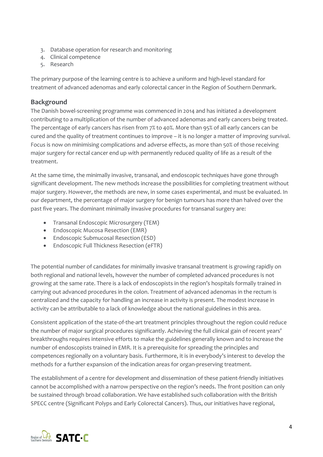- 3. Database operation for research and monitoring
- 4. Clinical competence
- 5. Research

The primary purpose of the learning centre is to achieve a uniform and high-level standard for treatment of advanced adenomas and early colorectal cancer in the Region of Southern Denmark.

#### **Background**

The Danish bowel-screening programme was commenced in 2014 and has initiated a development contributing to a multiplication of the number of advanced adenomas and early cancers being treated. The percentage of early cancers has risen from 7% to 40%. More than 95% of all early cancers can be cured and the quality of treatment continues to improve – it is no longer a matter of improving survival. Focus is now on minimising complications and adverse effects, as more than 50% of those receiving major surgery for rectal cancer end up with permanently reduced quality of life as a result of the treatment.

At the same time, the minimally invasive, transanal, and endoscopic techniques have gone through significant development. The new methods increase the possibilities for completing treatment without major surgery. However, the methods are new, in some cases experimental, and must be evaluated. In our department, the percentage of major surgery for benign tumours has more than halved over the past five years. The dominant minimally invasive procedures for transanal surgery are:

- Transanal Endoscopic Microsurgery (TEM)
- Endoscopic Mucosa Resection (EMR)
- Endoscopic Submucosal Resection (ESD)
- Endoscopic Full Thickness Resection (eFTR)

The potential number of candidates for minimally invasive transanal treatment is growing rapidly on both regional and national levels, however the number of completed advanced procedures is not growing at the same rate. There is a lack of endoscopists in the region's hospitals formally trained in carrying out advanced procedures in the colon. Treatment of advanced adenomas in the rectum is centralized and the capacity for handling an increase in activity is present. The modest increase in activity can be attributable to a lack of knowledge about the national guidelines in this area.

Consistent application of the state-of-the-art treatment principles throughout the region could reduce the number of major surgical procedures significantly. Achieving the full clinical gain of recent years' breakthroughs requires intensive efforts to make the guidelines generally known and to increase the number of endoscopists trained in EMR. It is a prerequisite for spreading the principles and competences regionally on a voluntary basis. Furthermore, it is in everybody's interest to develop the methods for a further expansion of the indication areas for organ-preserving treatment.

The establishment of a centre for development and dissemination of these patient-friendly initiatives cannot be accomplished with a narrow perspective on the region's needs. The front position can only be sustained through broad collaboration. We have established such collaboration with the British SPECC centre (Significant Polyps and Early Colorectal Cancers). Thus, our initiatives have regional,

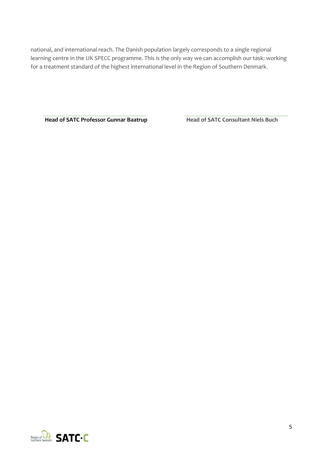national, and international reach. The Danish population largely corresponds to a single regional learning centre in the UK SPECC programme. This is the only way we can accomplish our task: working for a treatment standard of the highest international level in the Region of Southern Denmark.

**Head of SATC Professor Gunnar Baatrup Head of SATC Consultant Niels Buch** 

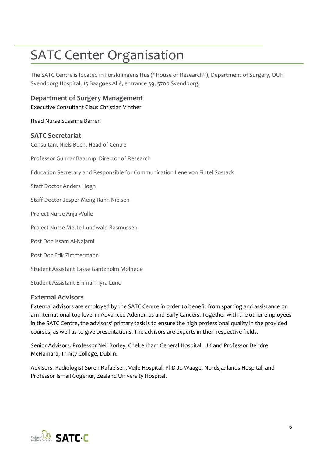### SATC Center Organisation

The SATC Centre is located in Forskningens Hus ("House of Research"), Department of Surgery, OUH Svendborg Hospital, 15 Baagøes Allé, entrance 39, 5700 Svendborg.

**Department of Surgery Management** Executive Consultant Claus Christian Vinther

Head Nurse Susanne Barren

#### **SATC Secretariat**

Consultant Niels Buch, Head of Centre

Professor Gunnar Baatrup, Director of Research

Education Secretary and Responsible for Communication Lene von Fintel Sostack

Staff Doctor Anders Høgh

Staff Doctor Jesper Meng Rahn Nielsen

Project Nurse Anja Wulle

Project Nurse Mette Lundwald Rasmussen

Post Doc Issam Al-Najami

Post Doc Erik Zimmermann

Student Assistant Lasse Gantzholm Mølhede

Student Assistant Emma Thyra Lund

#### **External Advisors**

External advisors are employed by the SATC Centre in order to benefit from sparring and assistance on an international top level in Advanced Adenomas and Early Cancers. Together with the other employees in the SATC Centre, the advisors' primary task is to ensure the high professional quality in the provided courses, as well as to give presentations. The advisors are experts in their respective fields.

Senior Advisors: Professor Neil Borley, Cheltenham General Hospital, UK and Professor Deirdre McNamara, Trinity College, Dublin.

Advisors: Radiologist Søren Rafaelsen, Vejle Hospital; PhD Jo Waage, Nordsjællands Hospital; and Professor Ismail Gögenur, Zealand University Hospital.

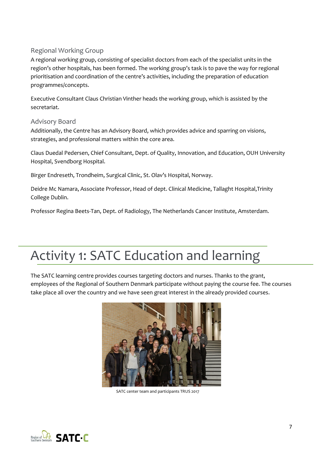#### Regional Working Group

A regional working group, consisting of specialist doctors from each of the specialist units in the region's other hospitals, has been formed. The working group's task is to pave the way for regional prioritisation and coordination of the centre's activities, including the preparation of education programmes/concepts.

Executive Consultant Claus Christian Vinther heads the working group, which is assisted by the secretariat.

#### Advisory Board

Additionally, the Centre has an Advisory Board, which provides advice and sparring on visions, strategies, and professional matters within the core area.

Claus Duedal Pedersen, Chief Consultant, Dept. of Quality, Innovation, and Education, OUH University Hospital, Svendborg Hospital.

Birger Endreseth, Trondheim, Surgical Clinic, St. Olav's Hospital, Norway.

Deidre Mc Namara, Associate Professor, Head of dept. Clinical Medicine, Tallaght Hospital,Trinity College Dublin.

Professor Regina Beets-Tan, Dept. of Radiology, The Netherlands Cancer Institute, Amsterdam.

### Activity 1: SATC Education and learning

The SATC learning centre provides courses targeting doctors and nurses. Thanks to the grant, employees of the Regional of Southern Denmark participate without paying the course fee. The courses take place all over the country and we have seen great interest in the already provided courses.



SATC center team and participants TRUS 2017

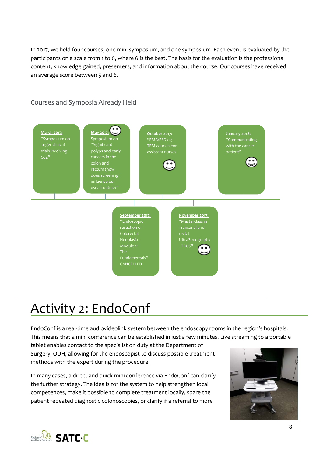In 2017, we held four courses, one mini symposium, and one symposium. Each event is evaluated by the participants on a scale from 1 to 6, where 6 is the best. The basis for the evaluation is the professional content, knowledge gained, presenters, and information about the course. Our courses have received an average score between 5 and 6.

Courses and Symposia Already Held



### Activity 2: EndoConf

EndoConf is a real-time audiovideolink system between the endoscopy rooms in the region's hospitals. This means that a mini conference can be established in just a few minutes. Live streaming to a portable tablet enables contact to the specialist on duty at the Department of Surgery, OUH, allowing for the endoscopist to discuss possible treatment methods with the expert during the procedure.

In many cases, a direct and quick mini conference via EndoConf can clarify the further strategy. The idea is for the system to help strengthen local competences, make it possible to complete treatment locally, spare the patient repeated diagnostic colonoscopies, or clarify if a referral to more



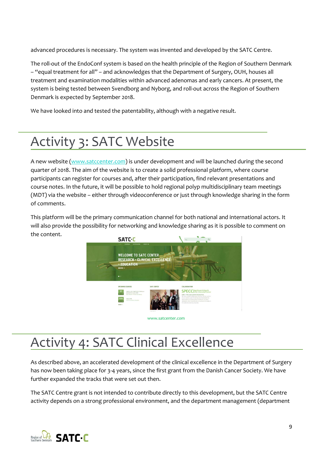advanced procedures is necessary. The system was invented and developed by the SATC Centre.

The roll-out of the EndoConf system is based on the health principle of the Region of Southern Denmark – "equal treatment for all" – and acknowledges that the Department of Surgery, OUH, houses all treatment and examination modalities within advanced adenomas and early cancers. At present, the system is being tested between Svendborg and Nyborg, and roll-out across the Region of Southern Denmark is expected by September 2018.

We have looked into and tested the patentability, although with a negative result.

### Activity 3: SATC Website

A new website [\(www.satccenter.com\)](http://www.satccenter.com/) is under development and will be launched during the second quarter of 2018. The aim of the website is to create a solid professional platform, where course participants can register for courses and, after their participation, find relevant presentations and course notes. In the future, it will be possible to hold regional polyp multidisciplinary team meetings (MDT) via the website – either through videoconference or just through knowledge sharing in the form of comments.

This platform will be the primary communication channel for both national and international actors. It will also provide the possibility for networking and knowledge sharing as it is possible to comment on the content.



### Activity 4: SATC Clinical Excellence

As described above, an accelerated development of the clinical excellence in the Department of Surgery has now been taking place for 3-4 years, since the first grant from the Danish Cancer Society. We have further expanded the tracks that were set out then.

The SATC Centre grant is not intended to contribute directly to this development, but the SATC Centre activity depends on a strong professional environment, and the department management (department

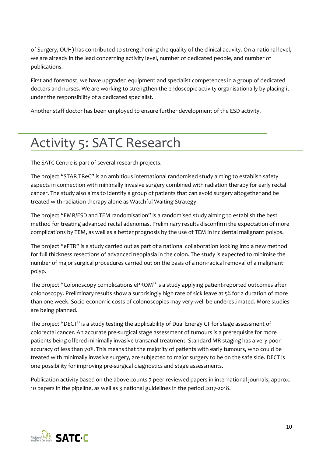of Surgery, OUH) has contributed to strengthening the quality of the clinical activity. On a national level, we are already in the lead concerning activity level, number of dedicated people, and number of publications.

First and foremost, we have upgraded equipment and specialist competences in a group of dedicated doctors and nurses. We are working to strengthen the endoscopic activity organisationally by placing it under the responsibility of a dedicated specialist.

Another staff doctor has been employed to ensure further development of the ESD activity.

### Activity 5: SATC Research

The SATC Centre is part of several research projects.

The project "STAR TReC" is an ambitious international randomised study aiming to establish safety aspects in connection with minimally invasive surgery combined with radiation therapy for early rectal cancer. The study also aims to identify a group of patients that can avoid surgery altogether and be treated with radiation therapy alone as Watchful Waiting Strategy.

The project "EMR/ESD and TEM randomisation" is a randomised study aiming to establish the best method for treating advanced rectal adenomas. Preliminary results disconfirm the expectation of more complications by TEM, as well as a better prognosis by the use of TEM in incidental malignant polyps.

The project "eFTR" is a study carried out as part of a national collaboration looking into a new method for full thickness resections of advanced neoplasia in the colon. The study is expected to minimise the number of major surgical procedures carried out on the basis of a non-radical removal of a malignant polyp.

The project "Colonoscopy complications ePROM" is a study applying patient-reported outcomes after colonoscopy. Preliminary results show a surprisingly high rate of sick leave at 5% for a duration of more than one week. Socio-economic costs of colonoscopies may very well be underestimated. More studies are being planned.

The project "DECT" is a study testing the applicability of Dual Energy CT for stage assessment of colorectal cancer. An accurate pre-surgical stage assessment of tumours is a prerequisite for more patients being offered minimally invasive transanal treatment. Standard MR staging has a very poor accuracy of less than 70%. This means that the majority of patients with early tumours, who could be treated with minimally invasive surgery, are subjected to major surgery to be on the safe side. DECT is one possibility for improving pre-surgical diagnostics and stage assessments.

Publication activity based on the above counts 7 peer reviewed papers in international journals, approx. 10 papers in the pipeline, as well as 3 national guidelines in the period 2017-2018.

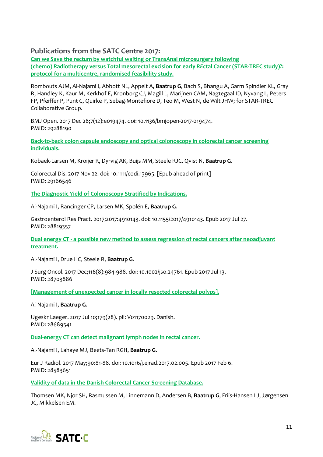#### **Publications from the SATC Centre 2017:**

**Can we** *S***[ave the rectum by watchful waiting or](https://www.ncbi.nlm.nih.gov/pubmed/29288190)** *T***rans***A***nal microsurgery following (chemo)** *R***adiotherapy versus** *T***[otal mesorectal excision for early](https://www.ncbi.nlm.nih.gov/pubmed/29288190)** *RE***ctal** *C***ancer (STAR-TREC study)?: [protocol for a multicentre, randomised feasibility study.](https://www.ncbi.nlm.nih.gov/pubmed/29288190)**

Rombouts AJM, Al-Najami I, Abbott NL, Appelt A, **Baatrup G**, Bach S, Bhangu A, Garm Spindler KL, Gray R, Handley K, Kaur M, Kerkhof E, Kronborg CJ, Magill L, Marijnen CAM, Nagtegaal ID, Nyvang L, Peters FP, Pfeiffer P, Punt C, Quirke P, Sebag-Montefiore D, Teo M, West N, de Wilt JHW; for STAR-TREC Collaborative Group.

BMJ Open. 2017 Dec 28;7(12):e019474. doi: 10.1136/bmjopen-2017-019474. PMID: 29288190

**[Back-to-back colon capsule endoscopy and optical colonoscopy in colorectal cancer screening](https://www.ncbi.nlm.nih.gov/pubmed/29166546)  [individuals.](https://www.ncbi.nlm.nih.gov/pubmed/29166546)**

Kobaek-Larsen M, Kroijer R, Dyrvig AK, Buijs MM, Steele RJC, Qvist N, **Baatrup G**.

Colorectal Dis. 2017 Nov 22. doi: 10.1111/codi.13965. [Epub ahead of print] PMID: 29166546

**[The Diagnostic Yield of Colonoscopy Stratified by Indications.](https://www.ncbi.nlm.nih.gov/pubmed/28819357)**

Al-Najami I, Rancinger CP, Larsen MK, Spolén E, **Baatrup G**.

Gastroenterol Res Pract. 2017;2017:4910143. doi: 10.1155/2017/4910143. Epub 2017 Jul 27. PMID: 28819357

**Dual energy CT - [a possible new method to assess regression of rectal cancers after neoadjuvant](https://www.ncbi.nlm.nih.gov/pubmed/28703886)  [treatment.](https://www.ncbi.nlm.nih.gov/pubmed/28703886)**

Al-Najami I, Drue HC, Steele R, **Baatrup G**.

J Surg Oncol. 2017 Dec;116(8):984-988. doi: 10.1002/jso.24761. Epub 2017 Jul 13. PMID: 28703886

**[\[Management of unexpected cancer in locally resected colorectal polyps\].](https://www.ncbi.nlm.nih.gov/pubmed/28689541)**

Al-Najami I, **Baatrup G**.

Ugeskr Laeger. 2017 Jul 10;179(28). pii: V01170029. Danish. PMID: 28689541

**[Dual-energy CT can detect malignant lymph nodes in rectal cancer.](https://www.ncbi.nlm.nih.gov/pubmed/28583651)**

Al-Najami I, Lahaye MJ, Beets-Tan RGH, **Baatrup G**.

Eur J Radiol. 2017 May;90:81-88. doi: 10.1016/j.ejrad.2017.02.005. Epub 2017 Feb 6. PMID: 28583651

**[Validity of data in the Danish Colorectal Cancer Screening Database.](https://www.ncbi.nlm.nih.gov/pubmed/28255255)**

Thomsen MK, Njor SH, Rasmussen M, Linnemann D, Andersen B, **Baatrup G**, Friis-Hansen LJ, Jørgensen JC, Mikkelsen EM.

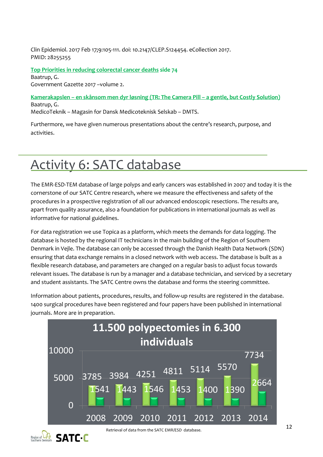Clin Epidemiol. 2017 Feb 17;9:105-111. doi: 10.2147/CLEP.S124454. eCollection 2017. PMID: 28255255

**[Top Priorities in reducing colorectal cancer deaths](https://issuu.com/jananikrishnaswamy/docs/government_gazette_2017_vol_2) side 74** Baatrup, G. Government Gazette 2017 –volume 2.

**Kamerakapslen – [en skånsom men dyr løsning](http://ipaper.ipapercms.dk/TechMedia/Medicoteknik/2017/6/?page=14) (TR: The Camera Pill – a gentle, but Costly Solution)** Baatrup, G.

MedicoTeknik – Magasin for Dansk Medicoteknisk Selskab – DMTS.

Furthermore, we have given numerous presentations about the centre's research, purpose, and activities.

### Activity 6: SATC database

The EMR-ESD-TEM database of large polyps and early cancers was established in 2007 and today it is the cornerstone of our SATC Centre research, where we measure the effectiveness and safety of the procedures in a prospective registration of all our advanced endoscopic resections. The results are, apart from quality assurance, also a foundation for publications in international journals as well as informative for national guidelines.

For data registration we use Topica as a platform, which meets the demands for data logging. The database is hosted by the regional IT technicians in the main building of the Region of Southern Denmark in Vejle. The database can only be accessed through the Danish Health Data Network (SDN) ensuring that data exchange remains in a closed network with web access. The database is built as a flexible research database, and parameters are changed on a regular basis to adjust focus towards relevant issues. The database is run by a manager and a database technician, and serviced by a secretary and student assistants. The SATC Centre owns the database and forms the steering committee.

Information about patients, procedures, results, and follow-up results are registered in the database. 1400 surgical procedures have been registered and four papers have been published in international journals. More are in preparation.